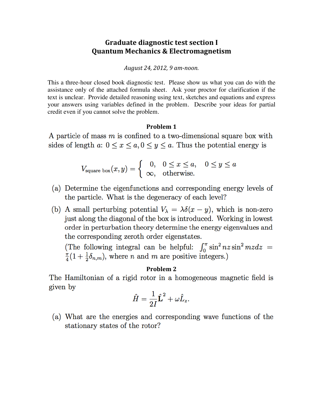### **Graduate diagnostic test section I Quantum Mechanics & Electromagnetism**

*August&24,&2012,&9 am/noon.&*

This a three-hour closed book diagnostic test. Please show us what you can do with the assistance only of the attached formula sheet. Ask your proctor for clarification if the text is unclear. Provide detailed reasoning using text, sketches and equations and express your answers using variables defined in the problem. Describe your ideas for partial credit even if you cannot solve the problem.

### **Problem 1**

A particle of mass  $m$  is confined to a two-dimensional square box with sides of length a:  $0 \le x \le a, 0 \le y \le a$ . Thus the potential energy is

$$
V_{\text{square box}}(x, y) = \begin{cases} 0, & 0 \le x \le a, \quad 0 \le y \le a \\ \infty, & \text{otherwise.} \end{cases}
$$

- (a) Determine the eigenfunctions and corresponding energy levels of the particle. What is the degeneracy of each level?
- (b) A small perturbing potential  $V_{\lambda} = \lambda \delta(x y)$ , which is non-zero just along the diagonal of the box is introduced. Working in lowest order in perturbation theory determine the energy eigenvalues and the corresponding zeroth order eigenstates.

(The following integral can be helpful:  $\int_0^{\pi} \sin^2 nz \sin^2 mz dz =$  $\frac{\pi}{4}(1+\frac{1}{2}\delta_{n,m})$ , where *n* and *m* are positive integers.)

### **Problem 2**

The Hamiltonian of a rigid rotor in a homogeneous magnetic field is given by

$$
\hat{H} = \frac{1}{2I}\hat{\mathbf{L}}^2 + \omega \hat{L}_z.
$$

(a) What are the energies and corresponding wave functions of the stationary states of the rotor?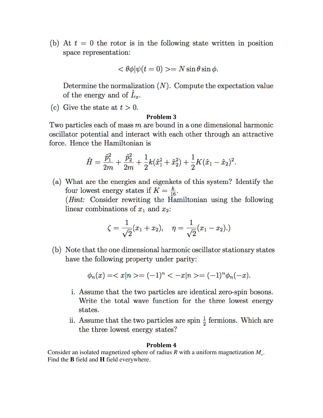(b) At  $t = 0$  the rotor is in the following state written in position space representation:

$$
\langle \theta \phi | \psi(t=0) \rangle = N \sin \theta \sin \phi.
$$

Determine the normalization  $(N)$ . Compute the expectation value of the energy and of  $\hat{L}_x$ .

(c) Give the state at  $t > 0$ .

### Problem 3

Two particles each of mass  $m$  are bound in a one dimensional harmonic oscillator potential and interact with each other through an attractive force. Hence the Hamiltonian is

$$
\hat{H} = \frac{\hat{p}_1^2}{2m} + \frac{\hat{p}_2^2}{2m} + \frac{1}{2}k(\hat{x}_1^2 + \hat{x}_2^2) + \frac{1}{2}K(\hat{x}_1 - \hat{x}_2)^2.
$$

(a) What are the energies and eigenkets of this system? Identify the four lowest energy states if  $K = \frac{k}{16}$ . (*Hint*: Consider rewriting the Hamiltonian using the following linear combinations of  $x_1$  and  $x_2$ :

$$
\zeta = \frac{1}{\sqrt{2}}(x_1 + x_2), \quad \eta = \frac{1}{\sqrt{2}}(x_1 - x_2).
$$

(b) Note that the one dimensional harmonic oscillator stationary states have the following property under parity:

$$
\phi_n(x) = \langle x | n \rangle = (-1)^n \langle -x | n \rangle = (-1)^n \phi_n(-x).
$$

- i. Assume that the two particles are identical zero-spin bosons. Write the total wave function for the three lowest energy states.
- ii. Assume that the two particles are spin  $\frac{1}{2}$  fermions. Which are the three lowest energy states?

#### Problem 4

Consider an isolated magnetized sphere of radius R with a uniform magnetization  $M<sub>o</sub>$ . Find the **B** field and **H** field everywhere.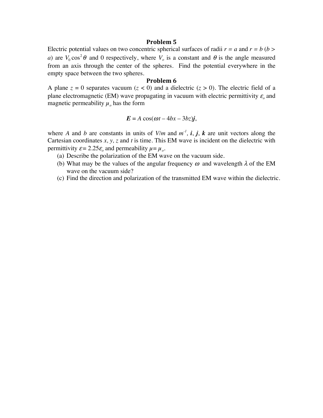#### **Problem**<sub>5</sub>

Electric potential values on two concentric spherical surfaces of radii  $r = a$  and  $r = b$  ( $b >$ *a*) are  $V_0 \cos^2 \theta$  and 0 respectively, where  $V_0$  is a constant and  $\theta$  is the angle measured from an axis through the center of the spheres. Find the potential everywhere in the empty space between the two spheres.

#### **Problem 6**

A plane  $z = 0$  separates vacuum  $(z < 0)$  and a dielectric  $(z > 0)$ . The electric field of a plane electromagnetic (EM) wave propagating in vacuum with electric permittivity  $\varepsilon$ <sub>o</sub> and magnetic permeability  $\mu_o$  has the form

$$
E = A \cos(\omega t - 4bx - 3bz)j,
$$

where *A* and *b* are constants in units of  $V/m$  and  $m<sup>-1</sup>$ , *i*, *j*, *k* are unit vectors along the Cartesian coordinates *x, y, z* and *t* is time. This EM wave is incident on the dielectric with permittivity  $\varepsilon = 2.25\varepsilon_o$  and permeability  $\mu = \mu_o$ .

- (a) Describe the polarization of the EM wave on the vacuum side.
- (b) What may be the values of the angular frequency  $\omega$  and wavelength  $\lambda$  of the EM wave on the vacuum side?
- (c) Find the direction and polarization of the transmitted EM wave within the dielectric.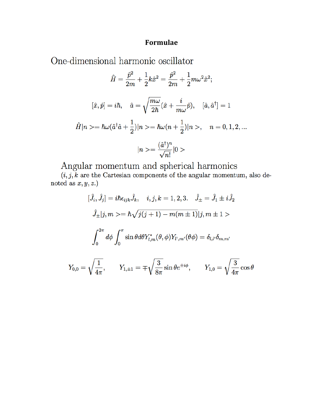### Formulae

One-dimensional harmonic oscillator

$$
\hat{H} = \frac{\hat{p}^2}{2m} + \frac{1}{2}k\hat{x}^2 = \frac{\hat{p}^2}{2m} + \frac{1}{2}m\omega^2\hat{x}^2;
$$
  

$$
[\hat{x}, \hat{p}] = i\hbar, \quad \hat{a} = \sqrt{\frac{m\omega}{2\hbar}}(\hat{x} + \frac{i}{m\omega}\hat{p}), \quad [\hat{a}, \hat{a}^\dagger] = 1
$$
  

$$
\hat{H}|n \rangle = \hbar\omega(\hat{a}^\dagger\hat{a} + \frac{1}{2})|n \rangle = \hbar\omega(n + \frac{1}{2})|n \rangle, \quad n = 0, 1, 2, \dots
$$
  

$$
|n \rangle = \frac{(\hat{a}^\dagger)^n}{\sqrt{n!}}|0 \rangle
$$

Angular momentum and spherical harmonics<br> $(i, j, k$  are the Cartesian components of the angular momentum, also denoted as  $x, y, z$ .)

$$
[\hat{J}_i, \hat{J}_j] = i\hbar \epsilon_{ijk}\hat{J}_k, \quad i, j, k = 1, 2, 3. \quad \hat{J}_\pm = \hat{J}_1 \pm i\hat{J}_2
$$

$$
\hat{J}_\pm |j, m\rangle = \hbar \sqrt{j(j+1) - m(m\pm 1)} |j, m\pm 1\rangle
$$

$$
\int_0^{2\pi} d\phi \int_0^{\pi} \sin \theta d\theta Y_{l,m}^*(\theta, \phi) Y_{l',m'}(\theta \phi) = \delta_{l,l'} \delta_{m,m'}
$$

$$
Y_{0,0} = \sqrt{\frac{1}{4\pi}}, \qquad Y_{1,\pm 1} = \mp \sqrt{\frac{3}{8\pi}} \sin \theta e^{\pm i\phi}, \qquad Y_{1,0} = \sqrt{\frac{3}{4\pi}} \cos \theta
$$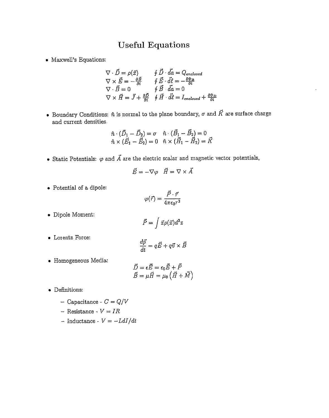## **Useful Equations**

• Maxwell's Equations:

$$
\nabla \cdot \vec{D} = \rho(\vec{x}) \qquad \oint \vec{D} \cdot d\vec{a} = Q_{enclosed}
$$
  
\n
$$
\nabla \times \vec{E} = -\frac{\partial \vec{B}}{\partial t} \qquad \oint \vec{E} \cdot d\vec{l} = -\frac{\partial \Phi_B}{\partial t}
$$
  
\n
$$
\nabla \cdot \vec{B} = 0 \qquad \oint \vec{B} \cdot d\vec{a} = 0
$$
  
\n
$$
\nabla \times \vec{H} = \vec{J} + \frac{\partial \vec{D}}{\partial t} \qquad \oint \vec{H} \cdot d\vec{l} = I_{enclosed} + \frac{\partial \Phi_B}{\partial t}
$$

- Boundary Conditions:  $\hat{n}$  is normal to the plane boundary,  $\sigma$  and  $\vec{K}$  are surface charge and current densities.

$$
\begin{aligned}\n\hat{n} \cdot (\vec{D}_1 - \vec{D}_2) &= \sigma \quad \hat{n} \cdot (\vec{B}_1 - \vec{B}_2) = 0 \\
\hat{n} \times (\vec{E}_1 - \vec{E}_2) &= 0 \quad \hat{n} \times (\vec{H}_1 - \vec{H}_2) = \vec{K}\n\end{aligned}
$$

• Static Potentials:  $\varphi$  and  $\vec{A}$  are the electric scalar and magnetic vector potentials,

$$
\vec{E} = -\nabla\varphi \quad \vec{H} = \nabla \times \vec{A}
$$

 $\bullet\,$  Potential of a dipole:

$$
\varphi(\vec{r})=\frac{\vec{P}\cdot\vec{r}}{4\pi\epsilon_0 r^3}
$$

 $\bullet\,$  Dipole Moment:

$$
\vec{P} = \int \vec{x} \rho(\vec{x}) d^3x
$$

• Lorentz Force:

$$
\frac{d\vec{p}}{dt} = q\vec{E} + q\vec{v} \times \vec{B}
$$

• Homogeneous Media:

$$
\begin{aligned}\n\vec{D} &= \epsilon \vec{E} = \epsilon_0 \vec{E} + \vec{P} \\
\vec{B} &= \mu \vec{H} = \mu_0 \left( \vec{H} + \vec{M} \right)\n\end{aligned}
$$

- Definitions:
	- -- Capacitance  $C=Q/V$
	- Resistance  $V = IR$
	- Inductance - $V = -L dI/dt$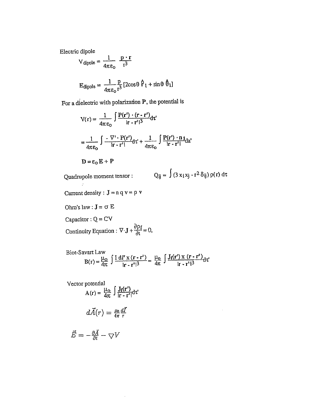Electric dipole

$$
V_{\text{dipole}} = \frac{1}{4\pi\epsilon_0} \frac{\mathbf{p} \cdot \mathbf{r}}{r^3}
$$

$$
E_{\text{dipole}} = \frac{1}{4\pi\epsilon_0} \frac{p}{r^3} \left[2\cos\theta \, \hat{r}_1 + \sin\theta \, \hat{\theta}_1\right]
$$

For a dielectric with polarization  $P$ , the potential is

$$
V(r) = \frac{1}{4\pi\epsilon_0} \int \frac{P(r') \cdot (r - r')}{|r - r'|^3} dr'
$$

$$
= \frac{1}{4\pi\epsilon_0} \int \frac{-\nabla \cdot P(r')}{|r - r'|} dr' + \frac{1}{4\pi\epsilon_0} \int \frac{P(r') \cdot n_1}{|r - r'|} da'
$$

$$
D = \epsilon_0 E + P
$$

Quadrupole moment tensor:  $Q_{ij} = \int (3 x_i x_j - r^2 \delta_{ij}) \rho(r) d\tau$  $\mathbb{R}^n$ 

- Current density :  $J = n q v = p v$
- Ohm's law :  $\mathbf{J} = \sigma \ \mathbf{E}$

Capacitor :  $Q = CV$ 

Continuity Equation : 
$$
\nabla \cdot \mathbf{J} + \frac{\partial \rho_f}{\partial t} = 0
$$
,

Biot-Savart Law  
B(r) = 
$$
\frac{\mu_0}{4\pi}
$$
  $\int \frac{I dI' x (r - r')}{|r - r'|^3} = \frac{\mu_0}{4\pi} \int \frac{J_f(r') x (r - r')}{|r - r'|^3} dr'$ 

Vector potential

r potential  
\n
$$
A(r) = \frac{\mu_0}{4\pi} \int \frac{J_f(r')}{|r - r'|} dr'
$$
\n
$$
d\vec{A}(r) = \frac{\mu_0}{4\pi} \frac{d\vec{I}}{r}
$$

$$
\vec{E}=-\tfrac{\partial \vec{A}}{\partial t}-\bigtriangledown V
$$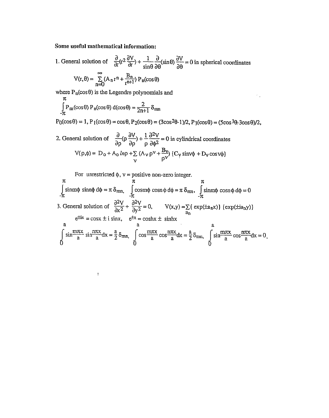#### Some useful mathematical information:

1. General solution of  $\frac{\partial}{\partial r}(r^2 \frac{\partial V}{\partial r}) + \frac{1}{\sin \theta} \frac{\partial}{\partial \theta}(\sin \theta) \frac{\partial V}{\partial \theta} = 0$  in spherical coordinates  $\infty$  $\mathbf{p}$ 

$$
V(r,\theta) = \sum_{n=0} (A_n r^n + \frac{b_n}{r^{n+1}}) P_n(\cos \theta)
$$

where  $P_n(\cos\theta)$  is the Legendre polynomials and

$$
\int_{-\pi}^{\pi} P_{\rm m}(\cos \theta) P_{\rm n}(\cos \theta) d(\cos \theta) = \frac{2}{2n+1} \delta_{\rm mn}
$$

 $\bar{1}$ 

 $P_0(\cos\theta) = 1$ ,  $P_1(\cos\theta) = \cos\theta$ ,  $P_2(\cos\theta) = (3\cos^2\theta - 1)/2$ ,  $P_3(\cos\theta) = (5\cos^3\theta - 3\cos\theta)/2$ ,

 $\mathcal{L}_{\rm{in}}$ 

2. General solution of 
$$
\frac{\partial}{\partial \rho} (\rho \frac{\partial V}{\partial \rho}) + \frac{1}{\rho} \frac{\partial^2 V}{\partial \phi^2} = 0
$$
 in cylindrical coordinates 
$$
V(\rho, \phi) = D_0 + A_0 \ln \rho + \sum_V (A_V \rho^V + \frac{B_V}{\rho^V}) (C_V \sin V\phi + D_V \cos V\phi)
$$

For unrestricted  $\phi$ ,  $v =$  positive non-zero integer.

$$
\pi
$$
\n
$$
\int_{-\pi}^{\pi} \sin m\phi \sin n\phi \,d\phi = \pi \delta_{mn}, \quad \int_{-\pi}^{\pi} \cos m\phi \cos n\phi \,d\phi = \pi \delta_{mn}, \quad \int_{-\pi}^{\pi} \sin m\phi \cos n\phi \,d\phi = 0
$$
\n3. General solution of  $\frac{\partial^2 V}{\partial x^2} + \frac{\partial^2 V}{\partial y^2} = 0$ ,  $V(x,y) = \sum_{a} \left\{ \exp(\pm a_n x) \right\} \left\{ \exp(\pm ia_n y) \right\}$   
\n $e^{\pm ix} = \cos x \pm i \sin x, \quad e^{\pm x} = \cosh x \pm \sinh x$   
\na  
\n
$$
\int_{0}^{\pi} \sin \frac{m\pi x}{a} \sin \frac{n\pi x}{a} dx = \frac{a}{2} \delta_{mn}, \quad \int_{0}^{\pi} \cos \frac{m\pi x}{a} \cos \frac{n\pi x}{a} dx = \frac{a}{2} \delta_{mn}, \quad \int_{0}^{\pi} \sin \frac{m\pi x}{a} \cos \frac{n\pi x}{a} dx = 0
$$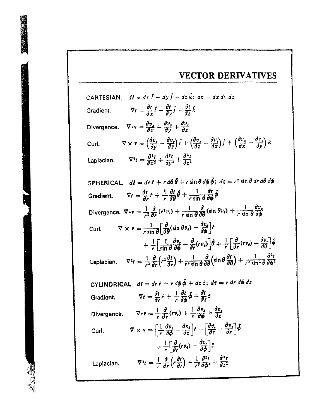### **VECTOR DERIVATIVES**

CARTESIAN.  $d\mathbf{l} = dx \hat{\mathbf{i}} - dy \hat{\mathbf{j}} - dz \hat{\mathbf{k}}$ ;  $d\tau = dx dy dz$ Gradient.  $\nabla t = \frac{\partial t}{\partial x}\hat{i} - \frac{\partial t}{\partial y}\hat{j} + \frac{\partial t}{\partial x}\hat{k}$ Divergence.  $\nabla \cdot \mathbf{v} = \frac{\partial v_x}{\partial x} + \frac{\partial v_y}{\partial y} + \frac{\partial v_z}{\partial z}$  $\nabla \times \mathbf{v} = \left(\frac{\partial v_x}{\partial v} - \frac{\partial v_y}{\partial z}\right)\hat{i} + \left(\frac{\partial v_x}{\partial z} - \frac{\partial v_z}{\partial x}\right)\hat{j} + \left(\frac{\partial v_y}{\partial x} - \frac{\partial v_z}{\partial y}\right)\hat{k}$ Curl.  $\nabla^2 t = \frac{\partial^2 t}{\partial x^2} + \frac{\partial^2 t}{\partial y^2} + \frac{\partial^2 t}{\partial z^2}$ Laplacian. SPHERICAL.  $d\mathbf{l} = dr \hat{r} + r d\theta \hat{\theta} + r \sin \theta d\phi \hat{\phi}$ ;  $d\tau = r^2 \sin \theta dr d\theta d\phi$ Gradient.  $\nabla t = \frac{\partial t}{\partial x} \hat{r} + \frac{1}{r} \frac{\partial t}{\partial \theta} \hat{\theta} + \frac{1}{r \sin \theta} \frac{\partial t}{\partial \theta} \hat{\phi}$ Divergence.  $\nabla \cdot \mathbf{v} = \frac{1}{r^2} \frac{\partial}{\partial r} (r^2 v_r) + \frac{1}{r \sin \theta} \frac{\partial}{\partial \theta} (\sin \theta v_{\theta}) + \frac{1}{r \sin \theta} \frac{\partial v_{\theta}}{\partial \phi}$  $\nabla \times \mathbf{v} = \frac{1}{r \sin \theta} \left[ \frac{\partial}{\partial \theta} (\sin \theta v_{\phi}) - \frac{\partial v_{\phi}}{\partial \theta} \right] \hat{r}$ Curl.  $+ \frac{1}{r} \left[ \frac{1}{\sin \theta} \frac{\partial v}{\partial \phi} - \frac{\partial}{\partial r} (rv_{\phi}) \right] \hat{\theta} + \frac{1}{r} \left[ \frac{\partial}{\partial r} (rv_{\theta}) - \frac{\partial v}{\partial \theta} \right] \hat{\phi}$ Laplacian.  $\nabla^2 t = \frac{1}{r^2} \frac{\partial}{\partial r} \left( r^2 \frac{\partial t}{\partial r} \right) + \frac{1}{r^2 \sin \theta} \frac{\partial}{\partial \theta} \left( \sin \theta \frac{\partial t}{\partial \theta} \right) + \frac{1}{r^2 \sin^2 \theta} \frac{\partial^2 t}{\partial \theta^2}$ CYLINDRICAL  $d\mathbf{l} = dr \hat{r} + r d\phi \hat{\phi} + dz \hat{z}$ ;  $d\tau = r dr d\phi dz$  $\nabla t = \frac{\partial t}{\partial r}\hat{r} + \frac{1}{r}\frac{\partial t}{\partial \phi}\hat{\phi} + \frac{\partial t}{\partial z}\hat{z}$ Gradient. Divergence.  $\nabla \cdot \mathbf{v} = \frac{1}{r} \frac{\partial}{\partial r} (r v_r) + \frac{1}{r} \frac{\partial v_s}{\partial \phi} + \frac{\partial v_r}{\partial z}$  $\nabla \times \mathbf{v} = \left[ \frac{1}{r} \frac{\partial v_z}{\partial \Phi} - \frac{\partial v_z}{\partial z} \right] \mathbf{\dot{r}} + \left[ \frac{\partial v_r}{\partial z} - \frac{\partial v_z}{\partial r} \right] \mathbf{\dot{\phi}}$ Curl.  $+\frac{1}{\epsilon}\left[\frac{\partial}{\partial x}(rv_{\phi})-\frac{\partial v}{\partial y}\right]\hat{z}$ Laplacian.  $\nabla^2 t = \frac{1}{r} \frac{\partial}{\partial r} \left( r \frac{\partial t}{\partial r} \right) + \frac{1}{r^2} \frac{\partial^2 t}{\partial \Delta^2} + \frac{\partial^2 t}{\partial z^2}$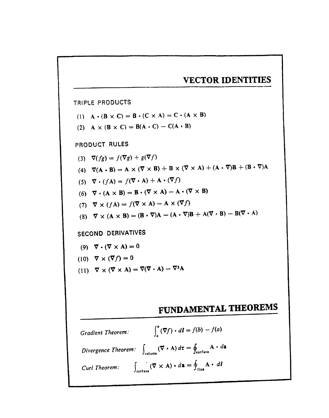## **VECTOR IDENTITIES**

TRIPLE PRODUCTS

- (1)  $A \cdot (B \times C) = B \cdot (C \times A) = C \cdot (A \times B)$
- (2) A  $\times$  (B  $\times$  C) = B(A  $\cdot$  C) C(A  $\cdot$  B)

### PRODUCT RULES

(3)  $\nabla(fg) = f(\nabla g) + g(\nabla f)$ (4)  $\nabla(A \cdot B) = A \times (\nabla \times B) + B \times (\nabla \times A) + (A \cdot \nabla)B + (B \cdot \nabla)A$ (5)  $\nabla \cdot (f\mathbf{A}) = f(\nabla \cdot \mathbf{A}) + \mathbf{A} \cdot (\nabla f)$ (6)  $\vec{\nabla} \cdot (A \times B) = B \cdot (\vec{\nabla} \times A) - A \cdot (\vec{\nabla} \times B)$ (7)  $\nabla \times (f\mathbf{A}) = f(\nabla \times \mathbf{A}) - \mathbf{A} \times (\nabla f)$ (8)  $\vec{\nabla} \times (A \times B) = (B \cdot \vec{\nabla})A - (A \cdot \vec{\nabla})B + A(\vec{\nabla} \cdot B) - B(\vec{\nabla} \cdot A)$ SECOND DERIVATIVES (9)  $\vec{\nabla} \cdot (\vec{\nabla} \times A) = 0$ 

(10) 
$$
\nabla \times (\nabla f) = 0
$$
  
(11)  $\nabla \times (\nabla \times A) = \nabla(\nabla \cdot A) - \nabla^2 A$ 

# FUNDAMENTAL THEOREMS

Gradient Theorem: 
$$
\int_{a}^{b} (\nabla f) \cdot dI = f(b) - f(a)
$$
  
\nDivergence Theorem: 
$$
\int_{\text{volume}} (\nabla \cdot A) d\tau = \oint_{\text{surface}} A \cdot d\mathbf{a}
$$
  
\nCurl Theorem: 
$$
\int_{\text{surface}} (\nabla \times A) \cdot d\mathbf{a} = \oint_{\text{line}} A \cdot dI
$$